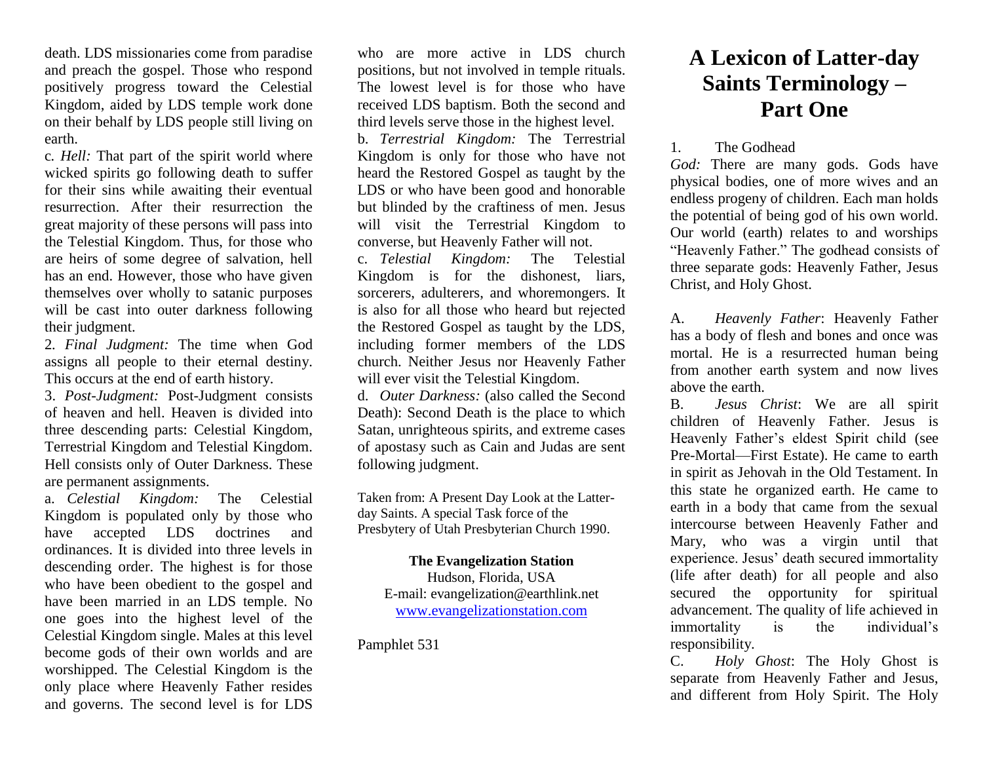death. LDS missionaries come from paradise and preach the gospel. Those who respond positively progress toward the Celestial Kingdom, aided by LDS temple work done on their behalf by LDS people still living on earth.

c*. Hell:* That part of the spirit world where wicked spirits go following death to suffer for their sins while awaiting their eventual resurrection. After their resurrection the great majority of these persons will pass into the Telestial Kingdom. Thus, for those who are heirs of some degree of salvation, hell has an end. However, those who have given themselves over wholly to satanic purposes will be cast into outer darkness following their judgment.

2*. Final Judgment:* The time when God assigns all people to their eternal destiny. This occurs at the end of earth history.

3. *Post-Judgment:* Post-Judgment consists of heaven and hell. Heaven is divided into three descending parts: Celestial Kingdom, Terrestrial Kingdom and Telestial Kingdom. Hell consists only of Outer Darkness. These are permanent assignments.

a. *Celestial Kingdom:* The Celestial Kingdom is populated only by those who have accepted LDS doctrines and ordinances. It is divided into three levels in descending order. The highest is for those who have been obedient to the gospel and have been married in an LDS temple. No one goes into the highest level of the Celestial Kingdom single. Males at this level become gods of their own worlds and are worshipped. The Celestial Kingdom is the only place where Heavenly Father resides and governs. The second level is for LDS

who are more active in LDS church positions, but not involved in temple rituals. The lowest level is for those who have received LDS baptism. Both the second and third levels serve those in the highest level.

b. *Terrestrial Kingdom:* The Terrestrial Kingdom is only for those who have not heard the Restored Gospel as taught by the LDS or who have been good and honorable but blinded by the craftiness of men. Jesus will visit the Terrestrial Kingdom to converse, but Heavenly Father will not.

c. *Telestial Kingdom:* The Telestial Kingdom is for the dishonest, liars, sorcerers, adulterers, and whoremongers. It is also for all those who heard but rejected the Restored Gospel as taught by the LDS, including former members of the LDS church. Neither Jesus nor Heavenly Father will ever visit the Telestial Kingdom.

d. *Outer Darkness:* (also called the Second Death): Second Death is the place to which Satan, unrighteous spirits, and extreme cases of apostasy such as Cain and Judas are sent following judgment.

Taken from: A Present Day Look at the Latterday Saints. A special Task force of the Presbytery of Utah Presbyterian Church 1990.

## **The Evangelization Station** Hudson, Florida, USA

E-mail: evangelization@earthlink.net [www.evangelizationstation.com](http://www.pjpiisoe.org/)

Pamphlet 531

## **A Lexicon of Latter-day Saints Terminology – Part One**

## 1. The Godhead

*God:* There are many gods. Gods have physical bodies, one of more wives and an endless progeny of children. Each man holds the potential of being god of his own world. Our world (earth) relates to and worships "Heavenly Father." The godhead consists of three separate gods: Heavenly Father, Jesus Christ, and Holy Ghost.

A. *Heavenly Father*: Heavenly Father has a body of flesh and bones and once was mortal. He is a resurrected human being from another earth system and now lives above the earth.

B. *Jesus Christ*: We are all spirit children of Heavenly Father. Jesus is Heavenly Father's eldest Spirit child (see Pre-Mortal—First Estate). He came to earth in spirit as Jehovah in the Old Testament. In this state he organized earth. He came to earth in a body that came from the sexual intercourse between Heavenly Father and Mary, who was a virgin until that experience. Jesus' death secured immortality (life after death) for all people and also secured the opportunity for spiritual advancement. The quality of life achieved in immortality is the individual's responsibility.

C. *Holy Ghost*: The Holy Ghost is separate from Heavenly Father and Jesus, and different from Holy Spirit. The Holy